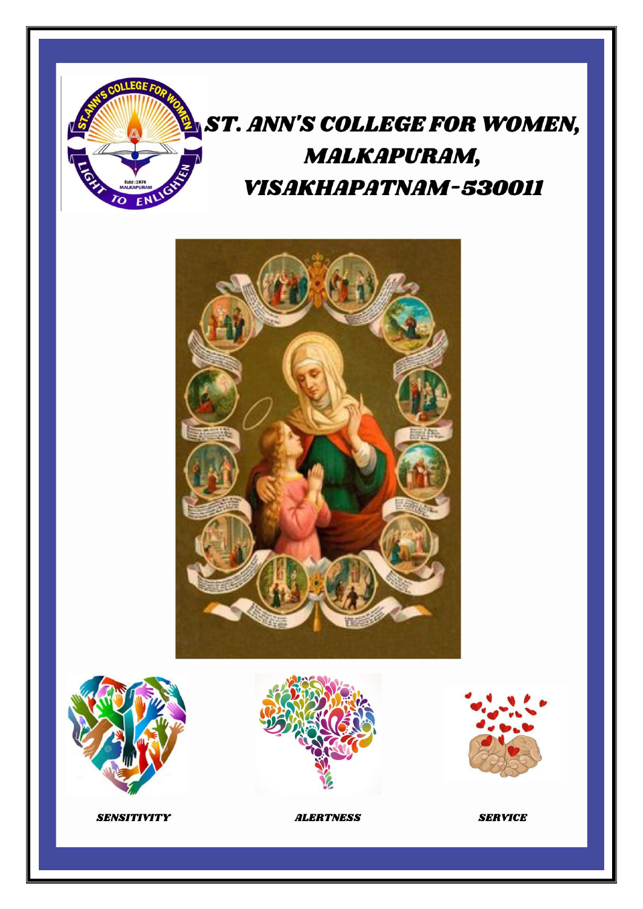

# ST. ANN'S COLLEGE FOR WOMEN, **MALKAPURAM, VISAKHAPATNAM-530011**









**SERVICE** 

**SENSITIVITY** 

**ALERTNESS**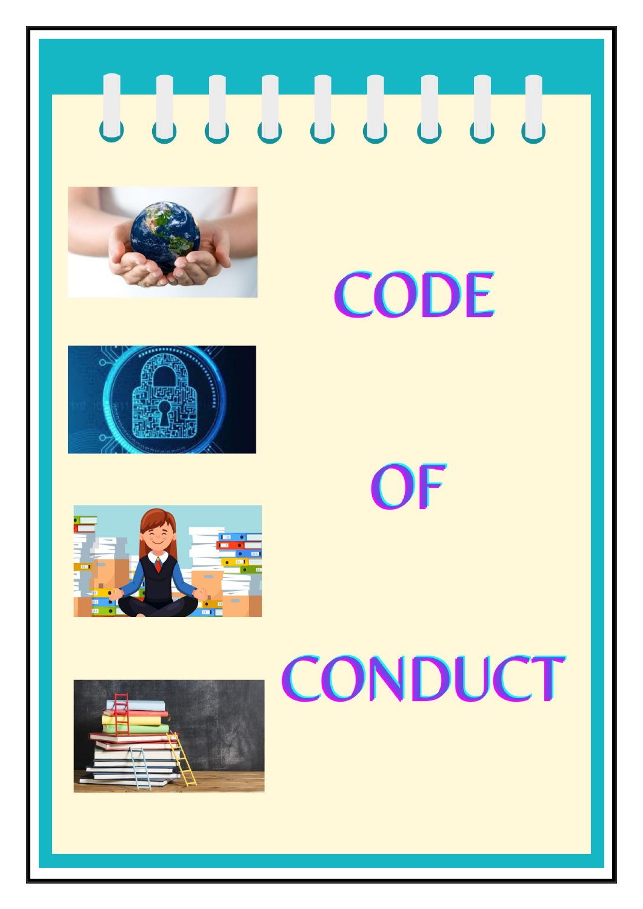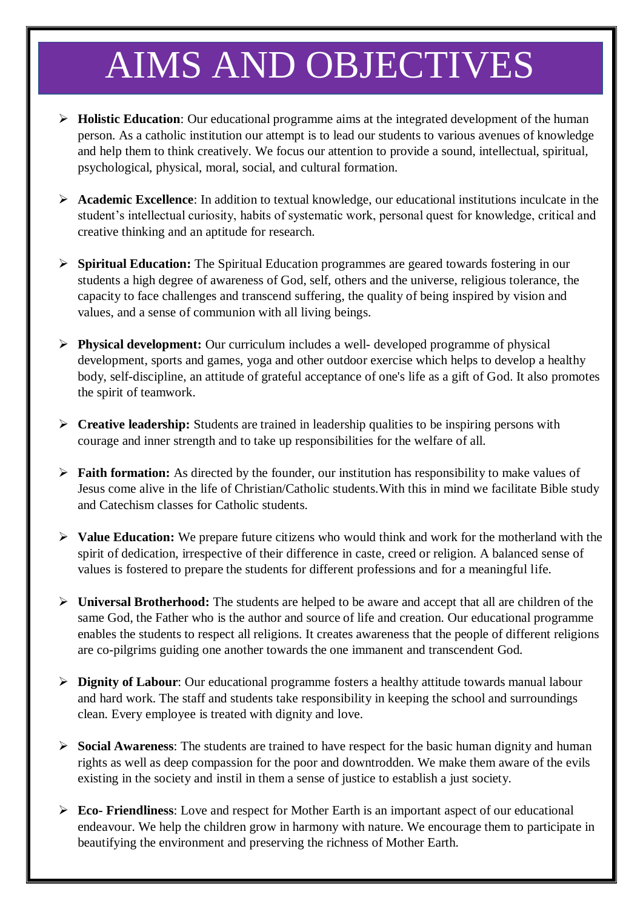# AIMS AND OBJECTIVES

- **Holistic Education**: Our educational programme aims at the integrated development of the human person. As a catholic institution our attempt is to lead our students to various avenues of knowledge and help them to think creatively. We focus our attention to provide a sound, intellectual, spiritual, psychological, physical, moral, social, and cultural formation.
- **Academic Excellence**: In addition to textual knowledge, our educational institutions inculcate in the student's intellectual curiosity, habits of systematic work, personal quest for knowledge, critical and creative thinking and an aptitude for research.
- **Spiritual Education:** The Spiritual Education programmes are geared towards fostering in our students a high degree of awareness of God, self, others and the universe, religious tolerance, the capacity to face challenges and transcend suffering, the quality of being inspired by vision and values, and a sense of communion with all living beings.
- **Physical development:** Our curriculum includes a well- developed programme of physical development, sports and games, yoga and other outdoor exercise which helps to develop a healthy body, self-discipline, an attitude of grateful acceptance of one's life as a gift of God. It also promotes the spirit of teamwork.
- **Creative leadership:** Students are trained in leadership qualities to be inspiring persons with courage and inner strength and to take up responsibilities for the welfare of all.
- **Faith formation:** As directed by the founder, our institution has responsibility to make values of Jesus come alive in the life of Christian/Catholic students.With this in mind we facilitate Bible study and Catechism classes for Catholic students.
- **Value Education:** We prepare future citizens who would think and work for the motherland with the spirit of dedication, irrespective of their difference in caste, creed or religion. A balanced sense of values is fostered to prepare the students for different professions and for a meaningful life.
- **Universal Brotherhood:** The students are helped to be aware and accept that all are children of the same God, the Father who is the author and source of life and creation. Our educational programme enables the students to respect all religions. It creates awareness that the people of different religions are co-pilgrims guiding one another towards the one immanent and transcendent God.
- **Dignity of Labour**: Our educational programme fosters a healthy attitude towards manual labour and hard work. The staff and students take responsibility in keeping the school and surroundings clean. Every employee is treated with dignity and love.
- **Social Awareness**: The students are trained to have respect for the basic human dignity and human rights as well as deep compassion for the poor and downtrodden. We make them aware of the evils existing in the society and instil in them a sense of justice to establish a just society.
- **Eco- Friendliness**: Love and respect for Mother Earth is an important aspect of our educational endeavour. We help the children grow in harmony with nature. We encourage them to participate in beautifying the environment and preserving the richness of Mother Earth.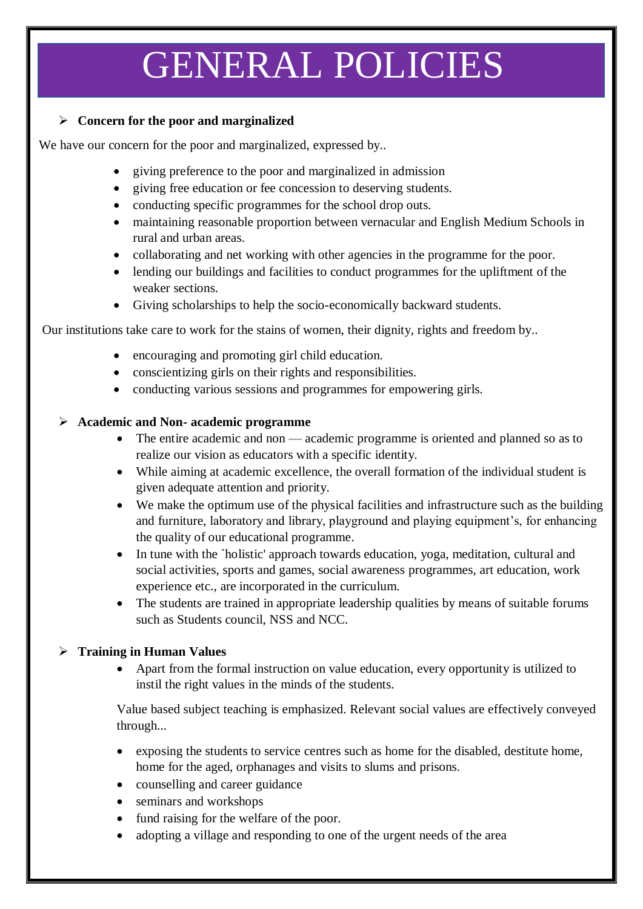# GENERAL POLICIES

#### **Concern for the poor and marginalized**

We have our concern for the poor and marginalized, expressed by..

- giving preference to the poor and marginalized in admission
- giving free education or fee concession to deserving students.
- conducting specific programmes for the school drop outs.
- maintaining reasonable proportion between vernacular and English Medium Schools in rural and urban areas.
- collaborating and net working with other agencies in the programme for the poor.
- lending our buildings and facilities to conduct programmes for the upliftment of the weaker sections.
- Giving scholarships to help the socio-economically backward students.

Our institutions take care to work for the stains of women, their dignity, rights and freedom by..

- encouraging and promoting girl child education.
- conscientizing girls on their rights and responsibilities.
- conducting various sessions and programmes for empowering girls.

## **Academic and Non- academic programme**

- The entire academic and non academic programme is oriented and planned so as to realize our vision as educators with a specific identity.
- While aiming at academic excellence, the overall formation of the individual student is given adequate attention and priority.
- We make the optimum use of the physical facilities and infrastructure such as the building and furniture, laboratory and library, playground and playing equipment's, for enhancing the quality of our educational programme.
- In tune with the `holistic' approach towards education, yoga, meditation, cultural and social activities, sports and games, social awareness programmes, art education, work experience etc., are incorporated in the curriculum.
- The students are trained in appropriate leadership qualities by means of suitable forums such as Students council, NSS and NCC.

# **Training in Human Values**

 Apart from the formal instruction on value education, every opportunity is utilized to instil the right values in the minds of the students.

Value based subject teaching is emphasized. Relevant social values are effectively conveyed through...

- exposing the students to service centres such as home for the disabled, destitute home, home for the aged, orphanages and visits to slums and prisons.
- counselling and career guidance
- seminars and workshops
- fund raising for the welfare of the poor.
- adopting a village and responding to one of the urgent needs of the area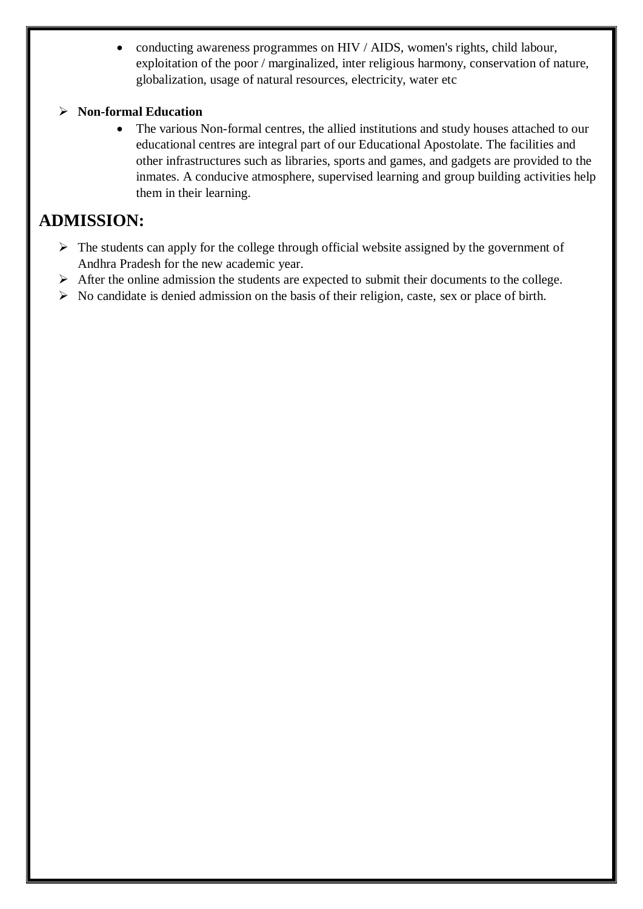conducting awareness programmes on HIV / AIDS, women's rights, child labour, exploitation of the poor / marginalized, inter religious harmony, conservation of nature, globalization, usage of natural resources, electricity, water etc

### **Non-formal Education**

• The various Non-formal centres, the allied institutions and study houses attached to our educational centres are integral part of our Educational Apostolate. The facilities and other infrastructures such as libraries, sports and games, and gadgets are provided to the inmates. A conducive atmosphere, supervised learning and group building activities help them in their learning.

# **ADMISSION:**

- $\triangleright$  The students can apply for the college through official website assigned by the government of Andhra Pradesh for the new academic year.
- $\triangleright$  After the online admission the students are expected to submit their documents to the college.
- $\triangleright$  No candidate is denied admission on the basis of their religion, caste, sex or place of birth.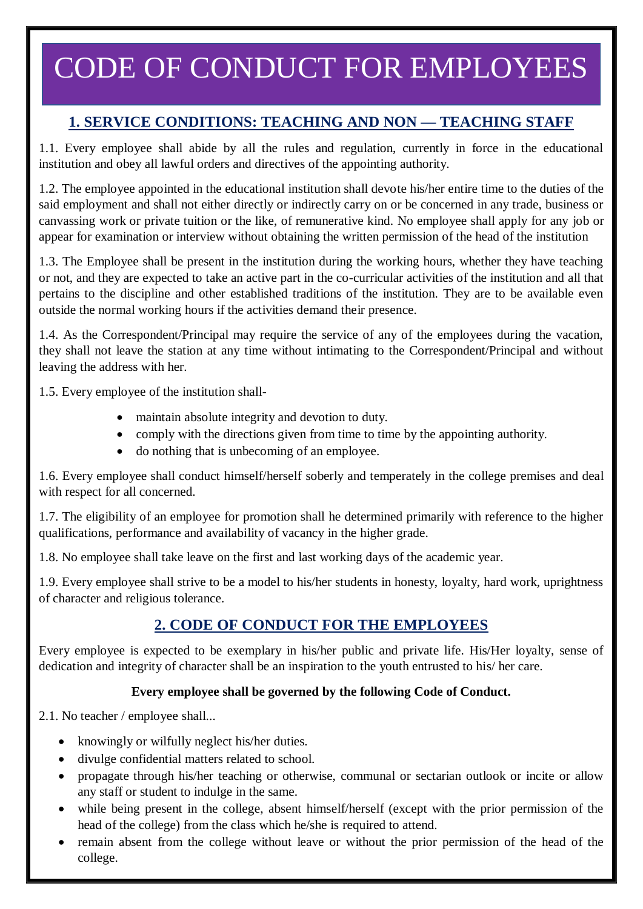# CODE OF CONDUCT FOR EMPLOYEES

# **1. SERVICE CONDITIONS: TEACHING AND NON — TEACHING STAFF**

1.1. Every employee shall abide by all the rules and regulation, currently in force in the educational institution and obey all lawful orders and directives of the appointing authority.

1.2. The employee appointed in the educational institution shall devote his/her entire time to the duties of the said employment and shall not either directly or indirectly carry on or be concerned in any trade, business or canvassing work or private tuition or the like, of remunerative kind. No employee shall apply for any job or appear for examination or interview without obtaining the written permission of the head of the institution

1.3. The Employee shall be present in the institution during the working hours, whether they have teaching or not, and they are expected to take an active part in the co-curricular activities of the institution and all that pertains to the discipline and other established traditions of the institution. They are to be available even outside the normal working hours if the activities demand their presence.

1.4. As the Correspondent/Principal may require the service of any of the employees during the vacation, they shall not leave the station at any time without intimating to the Correspondent/Principal and without leaving the address with her.

1.5. Every employee of the institution shall-

- maintain absolute integrity and devotion to duty.
- comply with the directions given from time to time by the appointing authority.
- do nothing that is unbecoming of an employee.

1.6. Every employee shall conduct himself/herself soberly and temperately in the college premises and deal with respect for all concerned.

1.7. The eligibility of an employee for promotion shall he determined primarily with reference to the higher qualifications, performance and availability of vacancy in the higher grade.

1.8. No employee shall take leave on the first and last working days of the academic year.

1.9. Every employee shall strive to be a model to his/her students in honesty, loyalty, hard work, uprightness of character and religious tolerance.

# **2. CODE OF CONDUCT FOR THE EMPLOYEES**

Every employee is expected to be exemplary in his/her public and private life. His/Her loyalty, sense of dedication and integrity of character shall be an inspiration to the youth entrusted to his/ her care.

### **Every employee shall be governed by the following Code of Conduct.**

2.1. No teacher / employee shall...

- knowingly or wilfully neglect his/her duties.
- divulge confidential matters related to school.
- propagate through his/her teaching or otherwise, communal or sectarian outlook or incite or allow any staff or student to indulge in the same.
- while being present in the college, absent himself/herself (except with the prior permission of the head of the college) from the class which he/she is required to attend.
- remain absent from the college without leave or without the prior permission of the head of the college.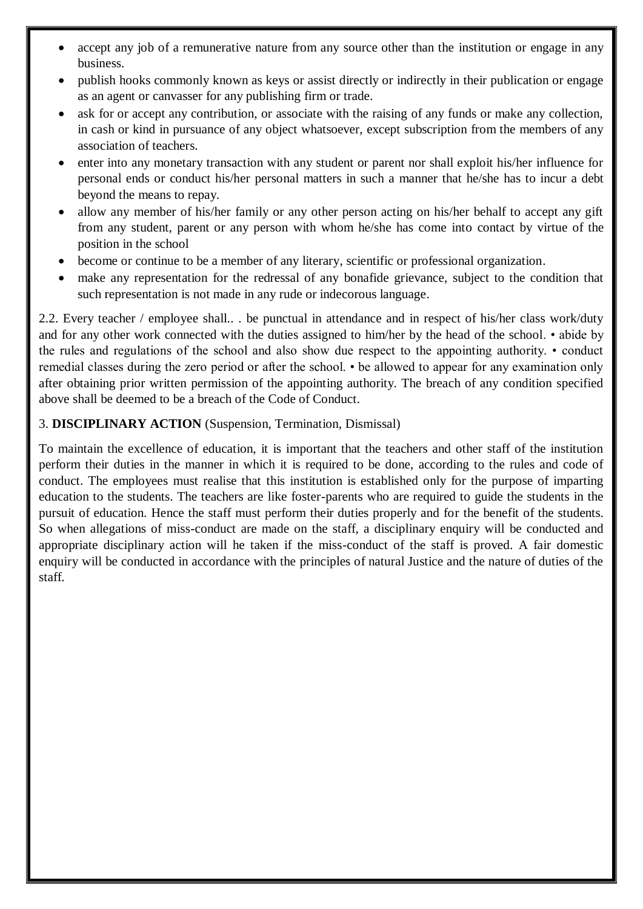- accept any job of a remunerative nature from any source other than the institution or engage in any business.
- publish hooks commonly known as keys or assist directly or indirectly in their publication or engage as an agent or canvasser for any publishing firm or trade.
- ask for or accept any contribution, or associate with the raising of any funds or make any collection, in cash or kind in pursuance of any object whatsoever, except subscription from the members of any association of teachers.
- enter into any monetary transaction with any student or parent nor shall exploit his/her influence for personal ends or conduct his/her personal matters in such a manner that he/she has to incur a debt beyond the means to repay.
- allow any member of his/her family or any other person acting on his/her behalf to accept any gift from any student, parent or any person with whom he/she has come into contact by virtue of the position in the school
- become or continue to be a member of any literary, scientific or professional organization.
- make any representation for the redressal of any bonafide grievance, subject to the condition that such representation is not made in any rude or indecorous language.

2.2. Every teacher / employee shall.. . be punctual in attendance and in respect of his/her class work/duty and for any other work connected with the duties assigned to him/her by the head of the school. • abide by the rules and regulations of the school and also show due respect to the appointing authority. • conduct remedial classes during the zero period or after the school. • be allowed to appear for any examination only after obtaining prior written permission of the appointing authority. The breach of any condition specified above shall be deemed to be a breach of the Code of Conduct.

### 3. **DISCIPLINARY ACTION** (Suspension, Termination, Dismissal)

To maintain the excellence of education, it is important that the teachers and other staff of the institution perform their duties in the manner in which it is required to be done, according to the rules and code of conduct. The employees must realise that this institution is established only for the purpose of imparting education to the students. The teachers are like foster-parents who are required to guide the students in the pursuit of education. Hence the staff must perform their duties properly and for the benefit of the students. So when allegations of miss-conduct are made on the staff, a disciplinary enquiry will be conducted and appropriate disciplinary action will he taken if the miss-conduct of the staff is proved. A fair domestic enquiry will be conducted in accordance with the principles of natural Justice and the nature of duties of the staff.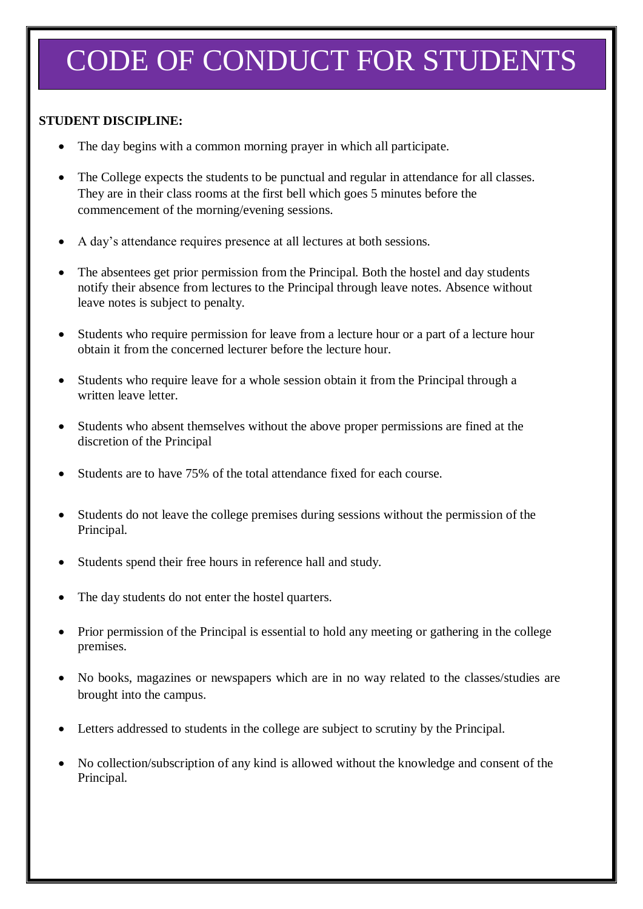# CODE OF CONDUCT FOR STUDENTS

### **STUDENT DISCIPLINE:**

- The day begins with a common morning prayer in which all participate.
- The College expects the students to be punctual and regular in attendance for all classes. They are in their class rooms at the first bell which goes 5 minutes before the commencement of the morning/evening sessions.
- A day's attendance requires presence at all lectures at both sessions.
- The absentees get prior permission from the Principal. Both the hostel and day students notify their absence from lectures to the Principal through leave notes. Absence without leave notes is subject to penalty.
- Students who require permission for leave from a lecture hour or a part of a lecture hour obtain it from the concerned lecturer before the lecture hour.
- Students who require leave for a whole session obtain it from the Principal through a written leave letter.
- Students who absent themselves without the above proper permissions are fined at the discretion of the Principal
- Students are to have 75% of the total attendance fixed for each course.
- Students do not leave the college premises during sessions without the permission of the Principal.
- Students spend their free hours in reference hall and study.
- The day students do not enter the hostel quarters.
- Prior permission of the Principal is essential to hold any meeting or gathering in the college premises.
- No books, magazines or newspapers which are in no way related to the classes/studies are brought into the campus.
- Letters addressed to students in the college are subject to scrutiny by the Principal.
- No collection/subscription of any kind is allowed without the knowledge and consent of the Principal.